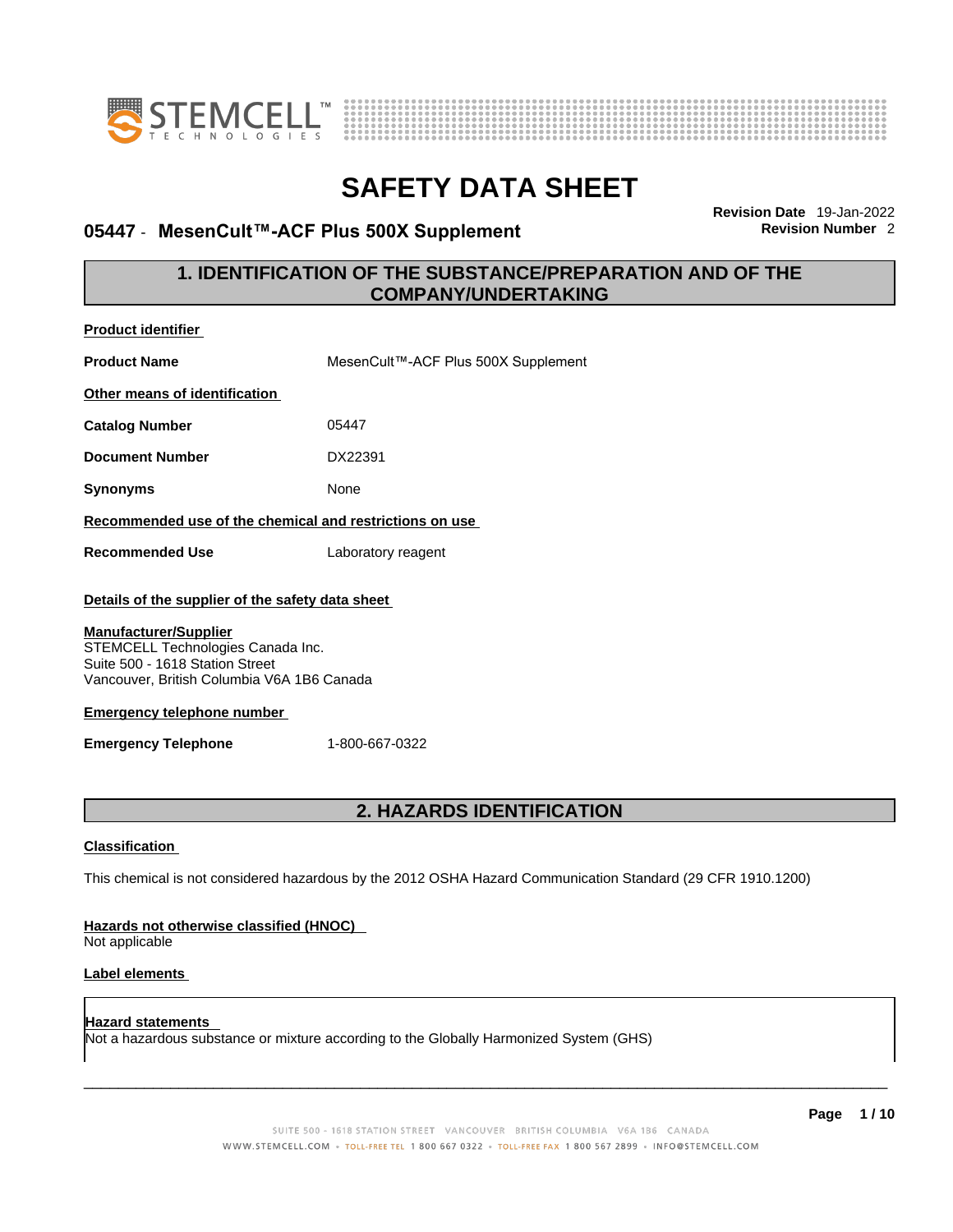



### **05447 · MesenCult™-ACF Plus 500X Supplement**

**Revision Date** 19-Jan-2022

### **1. IDENTIFICATION OF THE SUBSTANCE/PREPARATION AND OF THE COMPANY/UNDERTAKING**

| <b>Product identifier</b>                                                                                                                                                                                             |                                                                                                             |
|-----------------------------------------------------------------------------------------------------------------------------------------------------------------------------------------------------------------------|-------------------------------------------------------------------------------------------------------------|
| <b>Product Name</b>                                                                                                                                                                                                   | MesenCult™-ACF Plus 500X Supplement                                                                         |
| Other means of identification                                                                                                                                                                                         |                                                                                                             |
| <b>Catalog Number</b>                                                                                                                                                                                                 | 05447                                                                                                       |
| <b>Document Number</b>                                                                                                                                                                                                | DX22391                                                                                                     |
| <b>Synonyms</b>                                                                                                                                                                                                       | None                                                                                                        |
| Recommended use of the chemical and restrictions on use                                                                                                                                                               |                                                                                                             |
| <b>Recommended Use</b>                                                                                                                                                                                                | Laboratory reagent                                                                                          |
| Details of the supplier of the safety data sheet                                                                                                                                                                      |                                                                                                             |
| <b>Manufacturer/Supplier</b><br>STEMCELL Technologies Canada Inc.<br>Suite 500 - 1618 Station Street<br>Vancouver, British Columbia V6A 1B6 Canada<br><b>Emergency telephone number</b><br><b>Emergency Telephone</b> | 1-800-667-0322                                                                                              |
|                                                                                                                                                                                                                       | 2. HAZARDS IDENTIFICATION                                                                                   |
| <b>Classification</b>                                                                                                                                                                                                 |                                                                                                             |
|                                                                                                                                                                                                                       | This chemical is not considered hazardous by the 2012 OSHA Hazard Communication Standard (29 CFR 1910.1200) |
| Hazards not otherwise classified (HNOC)<br>Not applicable                                                                                                                                                             |                                                                                                             |
| Label elements                                                                                                                                                                                                        |                                                                                                             |
| <b>Hazard statements</b>                                                                                                                                                                                              | Not a hazardous substance or mixture according to the Globally Harmonized System (GHS)                      |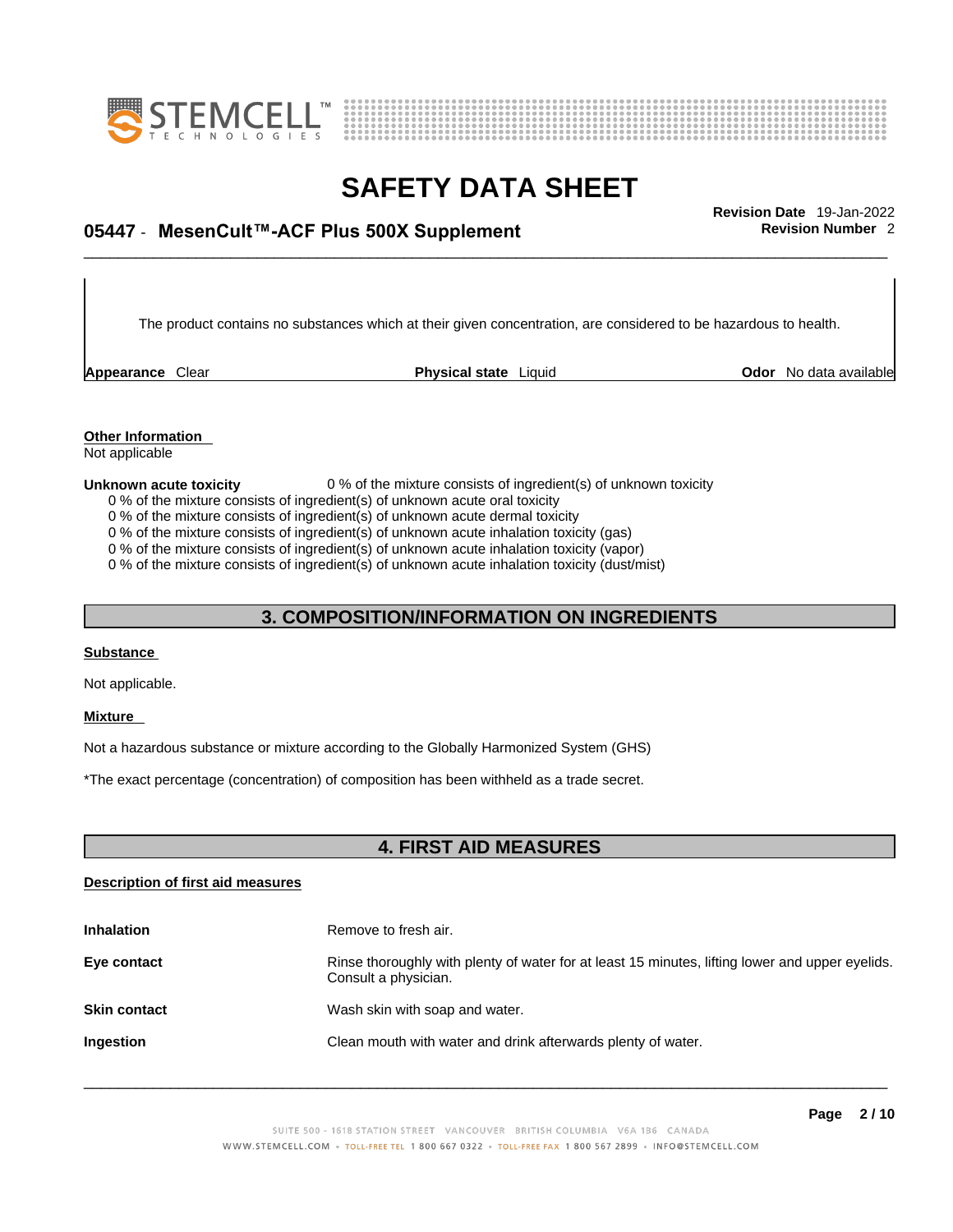



## \_\_\_\_\_\_\_\_\_\_\_\_\_\_\_\_\_\_\_\_\_\_\_\_\_\_\_\_\_\_\_\_\_\_\_\_\_\_\_\_\_\_\_\_\_\_\_\_\_\_\_\_\_\_\_\_\_\_\_\_\_\_\_\_\_\_\_\_\_\_\_\_\_\_\_\_\_\_\_\_\_\_\_\_\_\_\_\_\_\_\_\_\_ **Revision Date** 19-Jan-2022 **05447** - **MesenCult™-ACF Plus 500X Supplement Revision Number** 2

The product contains no substances which at their given concentration, are considered to be hazardous to health.

**Appearance** Clear **Physical state** Liquid

**Odor** No data available

**Other Information**  Not applicable

#### **Unknown acute toxicity** 0 % of the mixture consists of ingredient(s) of unknown toxicity

0 % of the mixture consists of ingredient(s) of unknown acute oral toxicity

0 % of the mixture consists of ingredient(s) of unknown acute dermal toxicity

0 % of the mixture consists of ingredient(s) of unknown acute inhalation toxicity (gas)

0 % of the mixture consists of ingredient(s) of unknown acute inhalation toxicity (vapor)

0 % of the mixture consists of ingredient(s) of unknown acute inhalation toxicity (dust/mist)

### **3. COMPOSITION/INFORMATION ON INGREDIENTS**

### **Substance**

Not applicable.

### **Mixture**

Not a hazardous substance or mixture according to the Globally Harmonized System (GHS)

\*The exact percentage (concentration) of composition has been withheld as a trade secret.

### **4. FIRST AID MEASURES**

### **Description of first aid measures**

| <b>Inhalation</b>   | Remove to fresh air.                                                                                                    |
|---------------------|-------------------------------------------------------------------------------------------------------------------------|
| Eye contact         | Rinse thoroughly with plenty of water for at least 15 minutes, lifting lower and upper eyelids.<br>Consult a physician. |
| <b>Skin contact</b> | Wash skin with soap and water.                                                                                          |
| Ingestion           | Clean mouth with water and drink afterwards plenty of water.                                                            |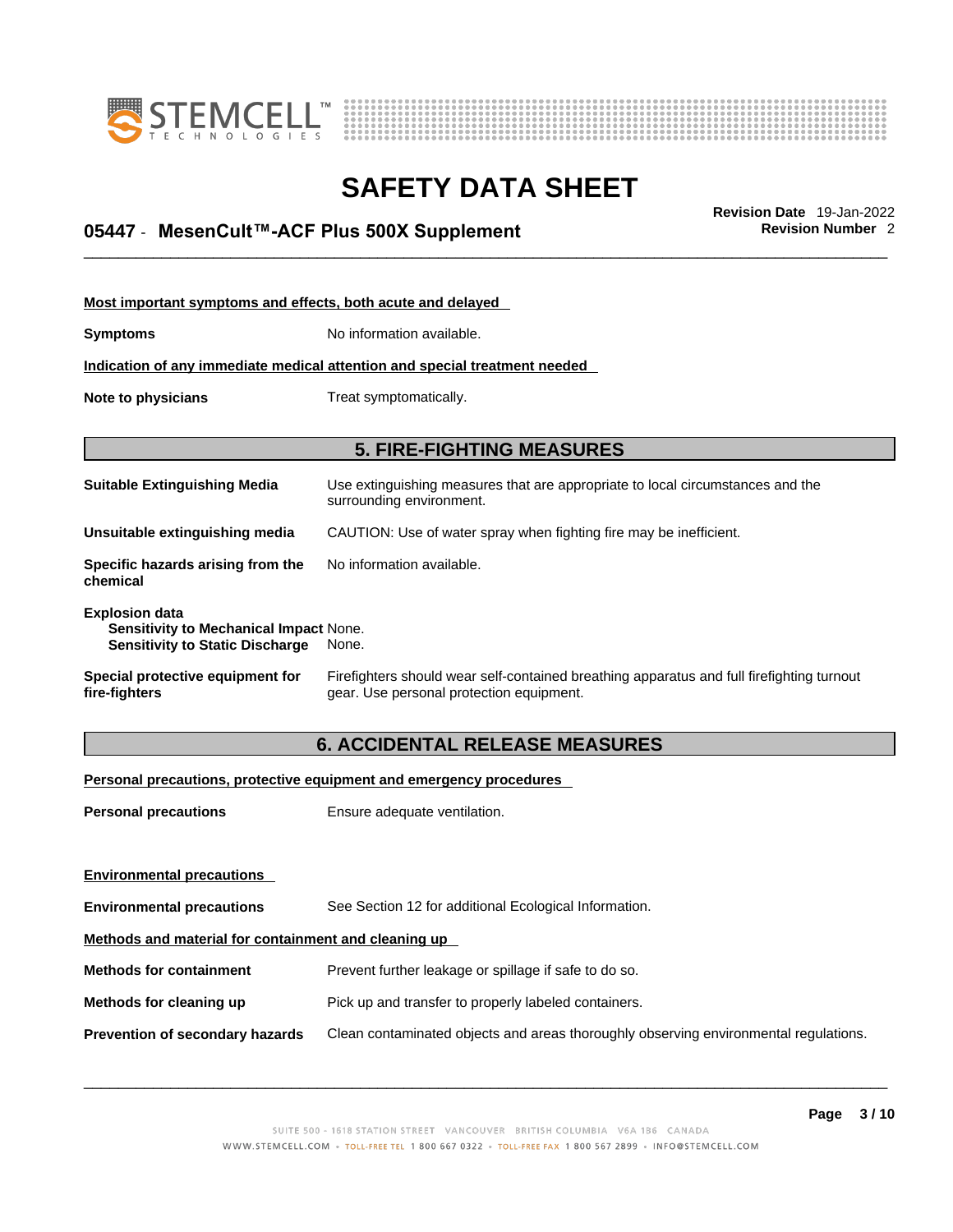



## \_\_\_\_\_\_\_\_\_\_\_\_\_\_\_\_\_\_\_\_\_\_\_\_\_\_\_\_\_\_\_\_\_\_\_\_\_\_\_\_\_\_\_\_\_\_\_\_\_\_\_\_\_\_\_\_\_\_\_\_\_\_\_\_\_\_\_\_\_\_\_\_\_\_\_\_\_\_\_\_\_\_\_\_\_\_\_\_\_\_\_\_\_ **Revision Date** 19-Jan-2022 **05447** - **MesenCult™-ACF Plus 500X Supplement Revision Number** 2

| Most important symptoms and effects, both acute and delayed                                                      |                                                                                                                                       |  |
|------------------------------------------------------------------------------------------------------------------|---------------------------------------------------------------------------------------------------------------------------------------|--|
| <b>Symptoms</b>                                                                                                  | No information available.                                                                                                             |  |
|                                                                                                                  | Indication of any immediate medical attention and special treatment needed                                                            |  |
| Note to physicians<br>Treat symptomatically.                                                                     |                                                                                                                                       |  |
|                                                                                                                  |                                                                                                                                       |  |
|                                                                                                                  | <b>5. FIRE-FIGHTING MEASURES</b>                                                                                                      |  |
| <b>Suitable Extinguishing Media</b>                                                                              | Use extinguishing measures that are appropriate to local circumstances and the<br>surrounding environment.                            |  |
| Unsuitable extinguishing media                                                                                   | CAUTION: Use of water spray when fighting fire may be inefficient.                                                                    |  |
| Specific hazards arising from the<br>chemical                                                                    | No information available.                                                                                                             |  |
| <b>Explosion data</b><br><b>Sensitivity to Mechanical Impact None.</b><br><b>Sensitivity to Static Discharge</b> | None.                                                                                                                                 |  |
| Special protective equipment for<br>fire-fighters                                                                | Firefighters should wear self-contained breathing apparatus and full firefighting turnout<br>gear. Use personal protection equipment. |  |

### **6. ACCIDENTAL RELEASE MEASURES**

### **Personal precautions, protective equipment and emergency procedures**

| <b>Personal precautions</b>                          | Ensure adequate ventilation.                                                         |
|------------------------------------------------------|--------------------------------------------------------------------------------------|
|                                                      |                                                                                      |
| <b>Environmental precautions</b>                     |                                                                                      |
| <b>Environmental precautions</b>                     | See Section 12 for additional Ecological Information.                                |
| Methods and material for containment and cleaning up |                                                                                      |
| <b>Methods for containment</b>                       | Prevent further leakage or spillage if safe to do so.                                |
| Methods for cleaning up                              | Pick up and transfer to properly labeled containers.                                 |
| Prevention of secondary hazards                      | Clean contaminated objects and areas thoroughly observing environmental regulations. |
|                                                      |                                                                                      |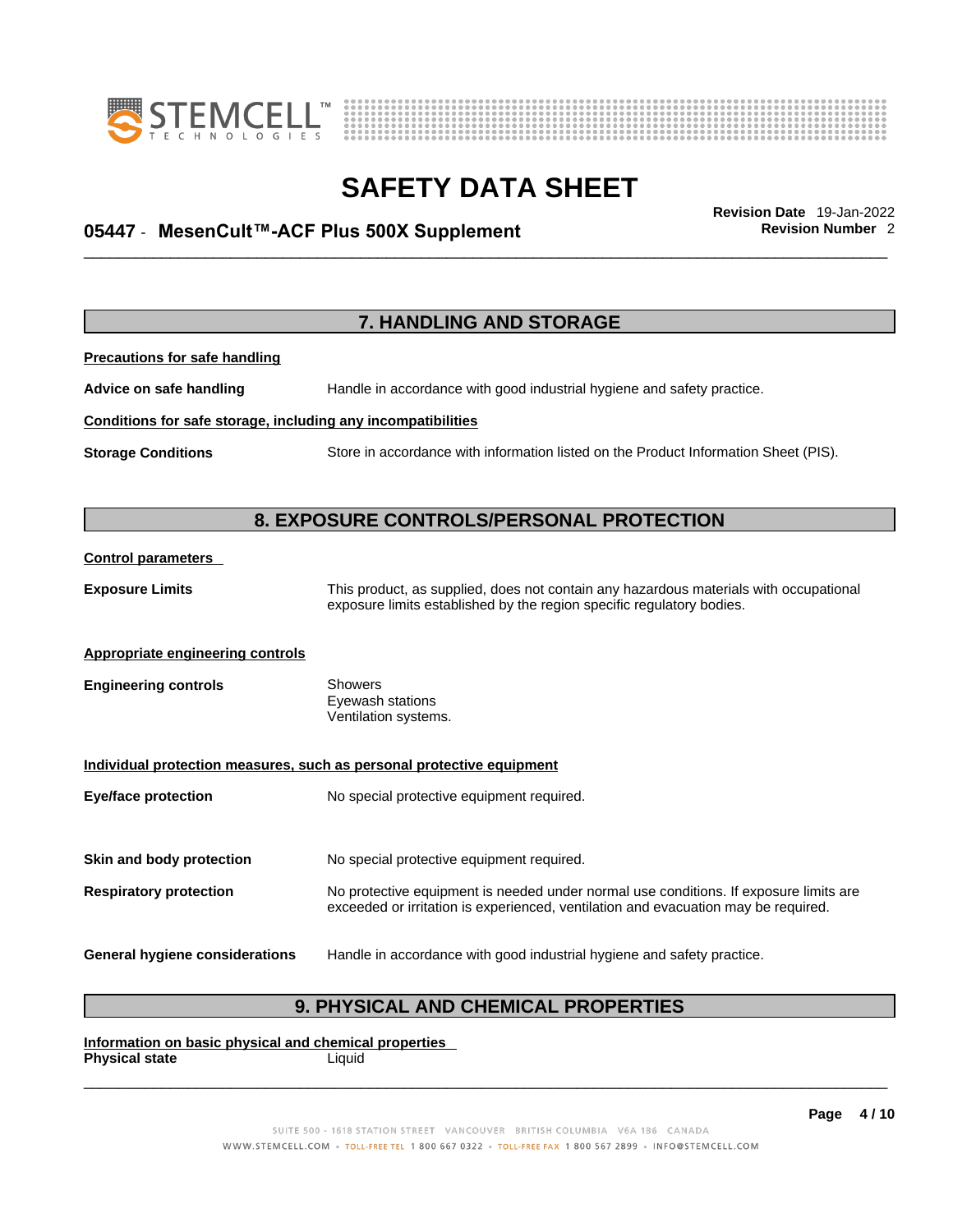



## \_\_\_\_\_\_\_\_\_\_\_\_\_\_\_\_\_\_\_\_\_\_\_\_\_\_\_\_\_\_\_\_\_\_\_\_\_\_\_\_\_\_\_\_\_\_\_\_\_\_\_\_\_\_\_\_\_\_\_\_\_\_\_\_\_\_\_\_\_\_\_\_\_\_\_\_\_\_\_\_\_\_\_\_\_\_\_\_\_\_\_\_\_ **Revision Date** 19-Jan-2022 **05447** - **MesenCult™-ACF Plus 500X Supplement Revision Number** 2

**7. HANDLING AND STORAGE Precautions for safe handling Advice on safe handling** Handle in accordance with good industrial hygiene and safety practice. **Conditions for safe storage, including any incompatibilities Storage Conditions** Store in accordance with information listed on the Product Information Sheet (PIS). **8. EXPOSURE CONTROLS/PERSONAL PROTECTION Control parameters Exposure Limits** This product, as supplied, does not contain any hazardous materials with occupational exposure limits established by the region specific regulatory bodies. **Appropriate engineering controls Engineering controls** Showers Eyewash stations Ventilation systems. **Individual protection measures, such as personal protective equipment Eye/face protection** No special protective equipment required. **Skin and body protection** No special protective equipment required. **Respiratory protection** No protective equipment is needed under normal use conditions. If exposure limits are exceeded or irritation is experienced, ventilation and evacuation may be required. **General hygiene considerations** Handle in accordance with good industrial hygiene and safety practice.

### **9. PHYSICAL AND CHEMICAL PROPERTIES**

**Information on basic physical and chemical properties Physical state** Liquid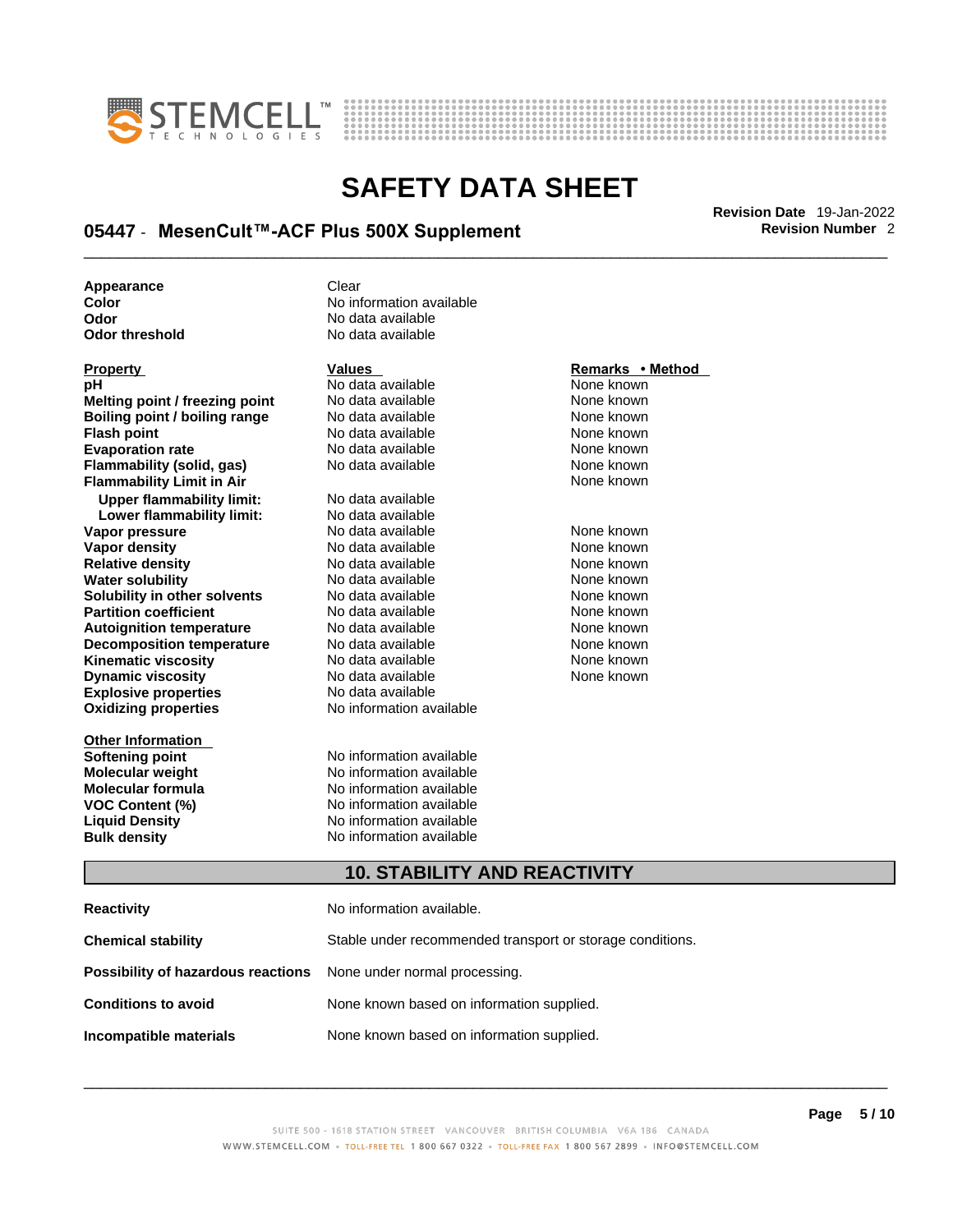



## \_\_\_\_\_\_\_\_\_\_\_\_\_\_\_\_\_\_\_\_\_\_\_\_\_\_\_\_\_\_\_\_\_\_\_\_\_\_\_\_\_\_\_\_\_\_\_\_\_\_\_\_\_\_\_\_\_\_\_\_\_\_\_\_\_\_\_\_\_\_\_\_\_\_\_\_\_\_\_\_\_\_\_\_\_\_\_\_\_\_\_\_\_ **Revision Date** 19-Jan-2022 **05447** - **MesenCult™-ACF Plus 500X Supplement Revision Number** 2

**No data available** 

**Appearance** Clear<br> **Color** No inf **Color Color Color Color Color Color Color Color Color Color Color No** data available **Odor No data available**<br> **Odor threshold No data available** 

| <b>Property</b>                    | <b>Values</b>                                             | Remarks • Method |
|------------------------------------|-----------------------------------------------------------|------------------|
| pН                                 | No data available                                         | None known       |
| Melting point / freezing point     | No data available                                         | None known       |
| Boiling point / boiling range      | No data available                                         | None known       |
| <b>Flash point</b>                 | No data available                                         | None known       |
| <b>Evaporation rate</b>            | No data available                                         | None known       |
| Flammability (solid, gas)          | No data available                                         | None known       |
| <b>Flammability Limit in Air</b>   |                                                           | None known       |
| <b>Upper flammability limit:</b>   | No data available                                         |                  |
| Lower flammability limit:          | No data available                                         |                  |
| Vapor pressure                     | No data available                                         | None known       |
| <b>Vapor density</b>               | No data available                                         | None known       |
| <b>Relative density</b>            | No data available                                         | None known       |
| <b>Water solubility</b>            | No data available                                         | None known       |
| Solubility in other solvents       | No data available                                         | None known       |
| <b>Partition coefficient</b>       | No data available                                         | None known       |
| <b>Autoignition temperature</b>    | No data available                                         | None known       |
| <b>Decomposition temperature</b>   | No data available                                         | None known       |
| <b>Kinematic viscosity</b>         | No data available                                         | None known       |
| <b>Dynamic viscosity</b>           | No data available                                         | None known       |
| <b>Explosive properties</b>        | No data available                                         |                  |
| <b>Oxidizing properties</b>        | No information available                                  |                  |
|                                    |                                                           |                  |
| <b>Other Information</b>           |                                                           |                  |
| <b>Softening point</b>             | No information available                                  |                  |
| <b>Molecular weight</b>            | No information available                                  |                  |
| <b>Molecular formula</b>           | No information available                                  |                  |
| <b>VOC Content (%)</b>             | No information available                                  |                  |
| <b>Liquid Density</b>              | No information available                                  |                  |
| <b>Bulk density</b>                | No information available                                  |                  |
|                                    |                                                           |                  |
|                                    | <b>10. STABILITY AND REACTIVITY</b>                       |                  |
|                                    |                                                           |                  |
| <b>Reactivity</b>                  | No information available.                                 |                  |
| <b>Chemical stability</b>          | Stable under recommended transport or storage conditions. |                  |
| Possibility of hazardous reactions | None under normal processing.                             |                  |
| <b>Conditions to avoid</b>         | None known based on information supplied.                 |                  |

#### SUITE 500 - 1618 STATION STREET VANCOUVER BRITISH COLUMBIA V6A 1B6 CANADA WWW.STEMCELL.COM · TOLL-FREE TEL 1 800 667 0322 · TOLL-FREE FAX 1 800 567 2899 · INFO@STEMCELL.COM

 $\_$  ,  $\_$  ,  $\_$  ,  $\_$  ,  $\_$  ,  $\_$  ,  $\_$  ,  $\_$  ,  $\_$  ,  $\_$  ,  $\_$  ,  $\_$  ,  $\_$  ,  $\_$  ,  $\_$  ,  $\_$  ,  $\_$  ,  $\_$  ,  $\_$  ,  $\_$  ,  $\_$  ,  $\_$  ,  $\_$  ,  $\_$  ,  $\_$  ,  $\_$  ,  $\_$  ,  $\_$  ,  $\_$  ,  $\_$  ,  $\_$  ,  $\_$  ,  $\_$  ,  $\_$  ,  $\_$  ,  $\_$  ,  $\_$  ,

**Incompatible materials** None known based on information supplied.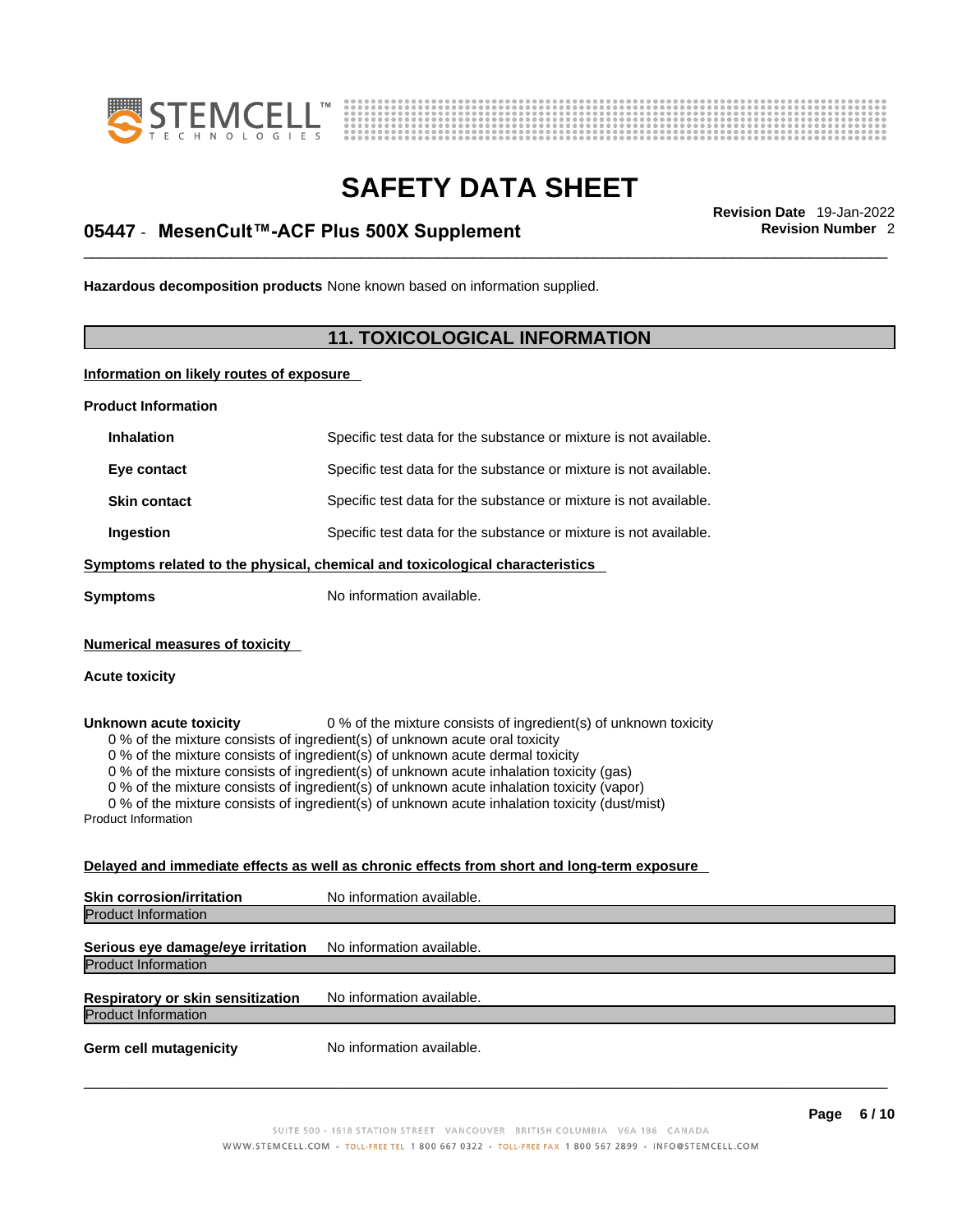



## \_\_\_\_\_\_\_\_\_\_\_\_\_\_\_\_\_\_\_\_\_\_\_\_\_\_\_\_\_\_\_\_\_\_\_\_\_\_\_\_\_\_\_\_\_\_\_\_\_\_\_\_\_\_\_\_\_\_\_\_\_\_\_\_\_\_\_\_\_\_\_\_\_\_\_\_\_\_\_\_\_\_\_\_\_\_\_\_\_\_\_\_\_ **Revision Date** 19-Jan-2022 **05447** - **MesenCult™-ACF Plus 500X Supplement Revision Number** 2

**Hazardous decomposition products** None known based on information supplied.

### **11. TOXICOLOGICAL INFORMATION**

**Information on likely routes of exposure**

**Product Information**

| <b>Inhalation</b>                                              | Specific test data for the substance or mixture is not available.                                                                                                                                                                                                                                                                                                                                                                                                                                                         |
|----------------------------------------------------------------|---------------------------------------------------------------------------------------------------------------------------------------------------------------------------------------------------------------------------------------------------------------------------------------------------------------------------------------------------------------------------------------------------------------------------------------------------------------------------------------------------------------------------|
| Eye contact                                                    | Specific test data for the substance or mixture is not available.                                                                                                                                                                                                                                                                                                                                                                                                                                                         |
| <b>Skin contact</b>                                            | Specific test data for the substance or mixture is not available.                                                                                                                                                                                                                                                                                                                                                                                                                                                         |
| Ingestion                                                      | Specific test data for the substance or mixture is not available.                                                                                                                                                                                                                                                                                                                                                                                                                                                         |
|                                                                | Symptoms related to the physical, chemical and toxicological characteristics                                                                                                                                                                                                                                                                                                                                                                                                                                              |
| Symptoms                                                       | No information available.                                                                                                                                                                                                                                                                                                                                                                                                                                                                                                 |
| <b>Numerical measures of toxicity</b><br><b>Acute toxicity</b> |                                                                                                                                                                                                                                                                                                                                                                                                                                                                                                                           |
| Unknown acute toxicity<br><b>Product Information</b>           | 0 % of the mixture consists of ingredient(s) of unknown toxicity<br>0 % of the mixture consists of ingredient(s) of unknown acute oral toxicity<br>0 % of the mixture consists of ingredient(s) of unknown acute dermal toxicity<br>0 % of the mixture consists of ingredient(s) of unknown acute inhalation toxicity (gas)<br>0 % of the mixture consists of ingredient(s) of unknown acute inhalation toxicity (vapor)<br>0 % of the mixture consists of ingredient(s) of unknown acute inhalation toxicity (dust/mist) |
|                                                                | Delayed and immediate effects as well as chronic effects from short and long-term exposure                                                                                                                                                                                                                                                                                                                                                                                                                                |
| <b>Skin corrosion/irritation</b>                               | No information available.                                                                                                                                                                                                                                                                                                                                                                                                                                                                                                 |
| <b>Product Information</b>                                     |                                                                                                                                                                                                                                                                                                                                                                                                                                                                                                                           |
| Serious eye damage/eye irritation                              | No information available.                                                                                                                                                                                                                                                                                                                                                                                                                                                                                                 |
| <b>Product Information</b>                                     |                                                                                                                                                                                                                                                                                                                                                                                                                                                                                                                           |
|                                                                |                                                                                                                                                                                                                                                                                                                                                                                                                                                                                                                           |

**Respiratory or skin sensitization** No information available. Product Information

**Germ cell mutagenicity** No information available.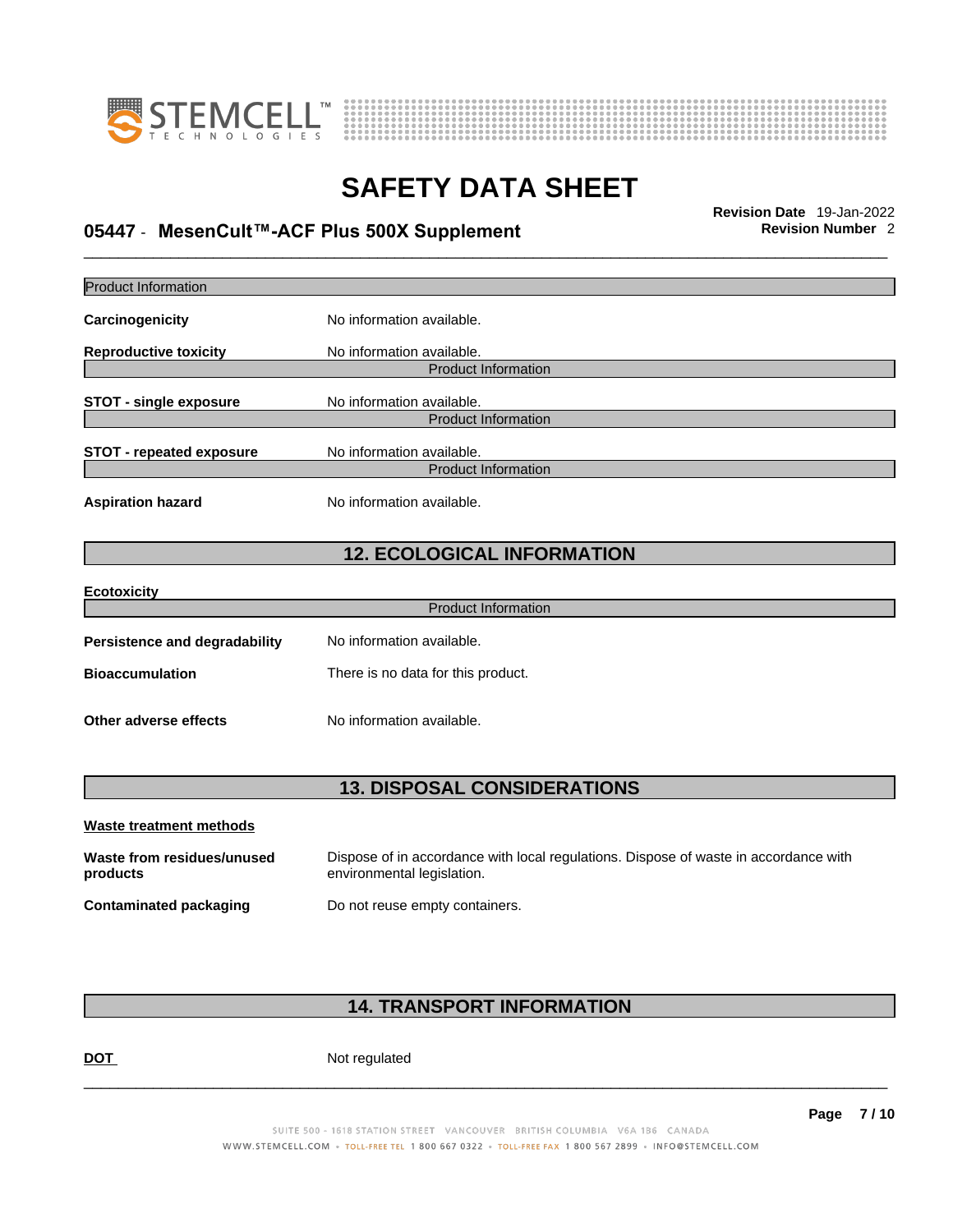



## \_\_\_\_\_\_\_\_\_\_\_\_\_\_\_\_\_\_\_\_\_\_\_\_\_\_\_\_\_\_\_\_\_\_\_\_\_\_\_\_\_\_\_\_\_\_\_\_\_\_\_\_\_\_\_\_\_\_\_\_\_\_\_\_\_\_\_\_\_\_\_\_\_\_\_\_\_\_\_\_\_\_\_\_\_\_\_\_\_\_\_\_\_ **Revision Date** 19-Jan-2022 **05447** - **MesenCult™-ACF Plus 500X Supplement Revision Number** 2

| <b>Product Information</b>             |                                                                                                                    |
|----------------------------------------|--------------------------------------------------------------------------------------------------------------------|
| Carcinogenicity                        | No information available.                                                                                          |
| <b>Reproductive toxicity</b>           | No information available.                                                                                          |
|                                        | <b>Product Information</b>                                                                                         |
| <b>STOT - single exposure</b>          | No information available.<br><b>Product Information</b>                                                            |
|                                        |                                                                                                                    |
| <b>STOT - repeated exposure</b>        | No information available.                                                                                          |
|                                        | <b>Product Information</b>                                                                                         |
| <b>Aspiration hazard</b>               | No information available.                                                                                          |
|                                        | <b>12. ECOLOGICAL INFORMATION</b>                                                                                  |
| <b>Ecotoxicity</b>                     |                                                                                                                    |
|                                        | <b>Product Information</b>                                                                                         |
| <b>Persistence and degradability</b>   | No information available.                                                                                          |
| <b>Bioaccumulation</b>                 | There is no data for this product.                                                                                 |
| Other adverse effects                  | No information available.                                                                                          |
|                                        | <b>13. DISPOSAL CONSIDERATIONS</b>                                                                                 |
| <b>Waste treatment methods</b>         |                                                                                                                    |
|                                        |                                                                                                                    |
| Waste from residues/unused<br>products | Dispose of in accordance with local regulations. Dispose of waste in accordance with<br>environmental legislation. |
| <b>Contaminated packaging</b>          | Do not reuse empty containers.                                                                                     |
|                                        |                                                                                                                    |

### **14. TRANSPORT INFORMATION**

DOT Not regulated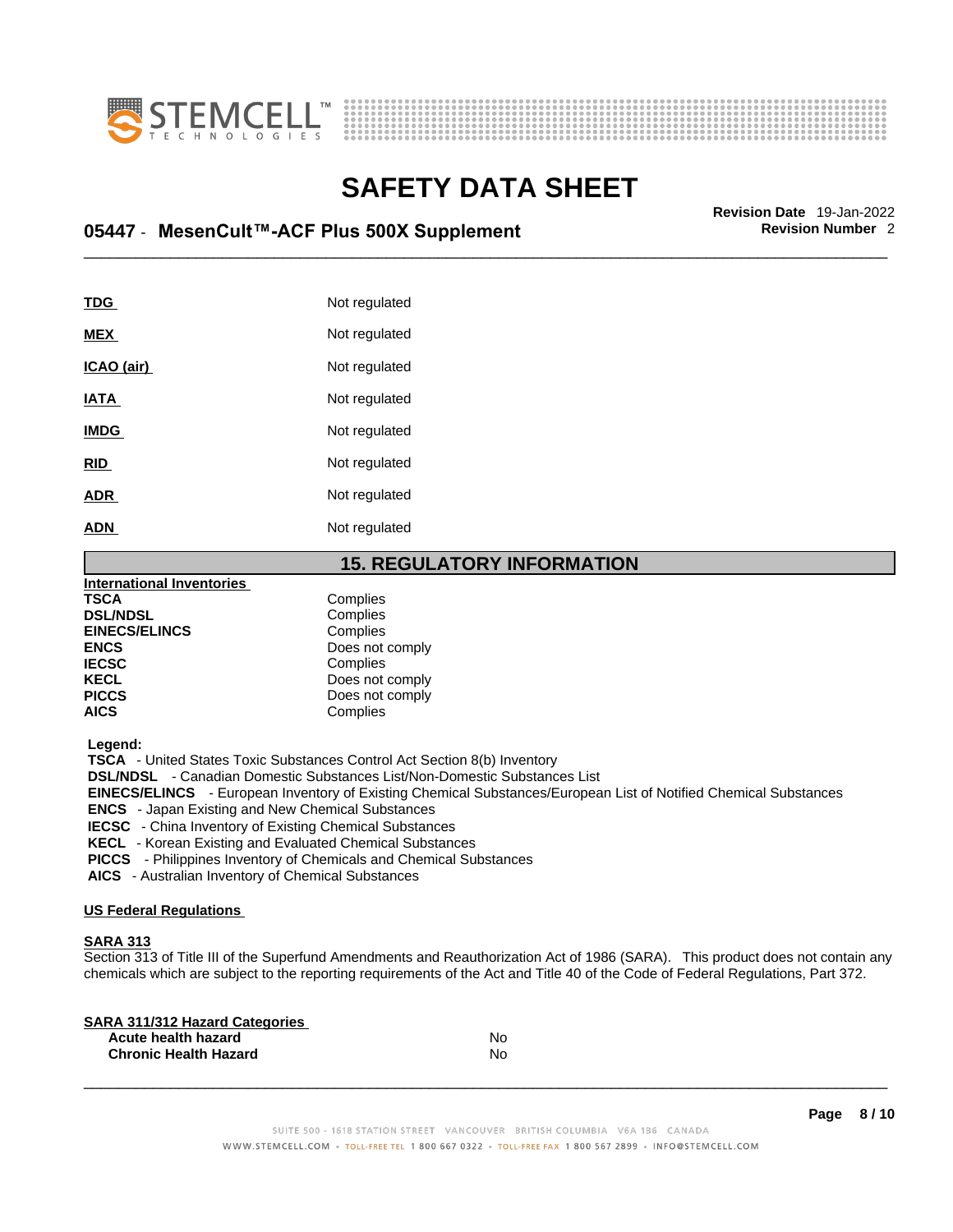



## \_\_\_\_\_\_\_\_\_\_\_\_\_\_\_\_\_\_\_\_\_\_\_\_\_\_\_\_\_\_\_\_\_\_\_\_\_\_\_\_\_\_\_\_\_\_\_\_\_\_\_\_\_\_\_\_\_\_\_\_\_\_\_\_\_\_\_\_\_\_\_\_\_\_\_\_\_\_\_\_\_\_\_\_\_\_\_\_\_\_\_\_\_ **Revision Date** 19-Jan-2022 **05447** - **MesenCult™-ACF Plus 500X Supplement Revision Number** 2

| <b>TDG</b>  | Not regulated |
|-------------|---------------|
| <b>MEX</b>  | Not regulated |
| ICAO (air)  | Not regulated |
| <b>IATA</b> | Not regulated |
| <b>IMDG</b> | Not regulated |
| <b>RID</b>  | Not regulated |
| <b>ADR</b>  | Not regulated |
| <b>ADN</b>  | Not regulated |
|             |               |

### **15. REGULATORY INFORMATION**

| <b>International Inventories</b> |                 |
|----------------------------------|-----------------|
| <b>TSCA</b>                      | Complies        |
| <b>DSL/NDSL</b>                  | Complies        |
| <b>EINECS/ELINCS</b>             | Complies        |
| <b>ENCS</b>                      | Does not comply |
| <b>IECSC</b>                     | Complies        |
| <b>KECL</b>                      | Does not comply |
| <b>PICCS</b>                     | Does not comply |
| <b>AICS</b>                      | Complies        |
|                                  |                 |

 **Legend:** 

 **TSCA** - United States Toxic Substances Control Act Section 8(b) Inventory

 **DSL/NDSL** - Canadian Domestic Substances List/Non-Domestic Substances List

 **EINECS/ELINCS** - European Inventory of Existing Chemical Substances/European List of Notified Chemical Substances

 **ENCS** - Japan Existing and New Chemical Substances

 **IECSC** - China Inventory of Existing Chemical Substances

 **KECL** - Korean Existing and Evaluated Chemical Substances

 **PICCS** - Philippines Inventory of Chemicals and Chemical Substances

 **AICS** - Australian Inventory of Chemical Substances

### **US Federal Regulations**

### **SARA 313**

Section 313 of Title III of the Superfund Amendments and Reauthorization Act of 1986 (SARA). This product does not contain any chemicals which are subject to the reporting requirements of the Act and Title 40 of the Code of Federal Regulations, Part 372.

| No |  |
|----|--|
| No |  |
|    |  |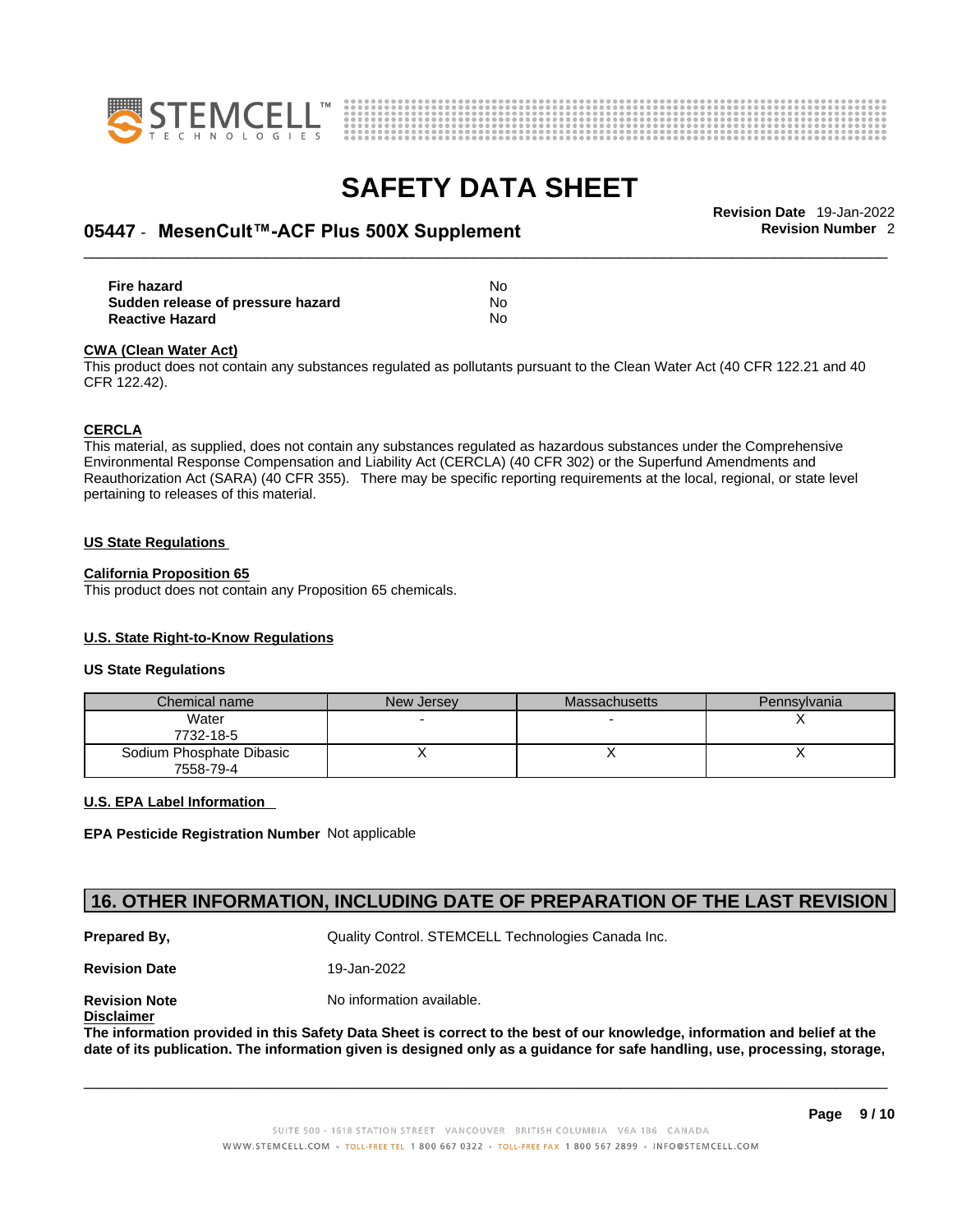



## \_\_\_\_\_\_\_\_\_\_\_\_\_\_\_\_\_\_\_\_\_\_\_\_\_\_\_\_\_\_\_\_\_\_\_\_\_\_\_\_\_\_\_\_\_\_\_\_\_\_\_\_\_\_\_\_\_\_\_\_\_\_\_\_\_\_\_\_\_\_\_\_\_\_\_\_\_\_\_\_\_\_\_\_\_\_\_\_\_\_\_\_\_ **Revision Date** 19-Jan-2022 **05447** - **MesenCult™-ACF Plus 500X Supplement Revision Number** 2

| Fire hazard                       | No |  |
|-----------------------------------|----|--|
| Sudden release of pressure hazard | No |  |
| <b>Reactive Hazard</b>            | No |  |

#### **CWA** (Clean Water Act)

This product does not contain any substances regulated as pollutants pursuant to the Clean Water Act (40 CFR 122.21 and 40 CFR 122.42).

#### **CERCLA**

This material, as supplied, does not contain any substances regulated as hazardous substances under the Comprehensive Environmental Response Compensation and Liability Act (CERCLA) (40 CFR 302) or the Superfund Amendments and Reauthorization Act (SARA) (40 CFR 355). There may be specific reporting requirements at the local, regional, or state level pertaining to releases of this material.

#### **US State Regulations**

### **California Proposition 65**

This product does not contain any Proposition 65 chemicals.

### **U.S. State Right-to-Know Regulations**

#### **US State Regulations**

| Chemical name                         | New Jersey | <b>Massachusetts</b> | Pennsylvania |
|---------------------------------------|------------|----------------------|--------------|
| Water<br>7732-18-5                    |            |                      |              |
| Sodium Phosphate Dibasic<br>7558-79-4 |            |                      |              |

### **U.S. EPA Label Information**

**EPA Pesticide Registration Number** Not applicable

### **16. OTHER INFORMATION, INCLUDING DATE OF PREPARATION OF THE LAST REVISION**

**Prepared By, State Control. STEMCELL Technologies Canada Inc.** Canada Inc.

**Revision Date** 19-Jan-2022

**Disclaimer**

**Revision Note** Noinformation available.

The information provided in this Safety Data Sheet is correct to the best of our knowledge, information and belief at the date of its publication. The information given is designed only as a guidance for safe handling, use, processing, storage,